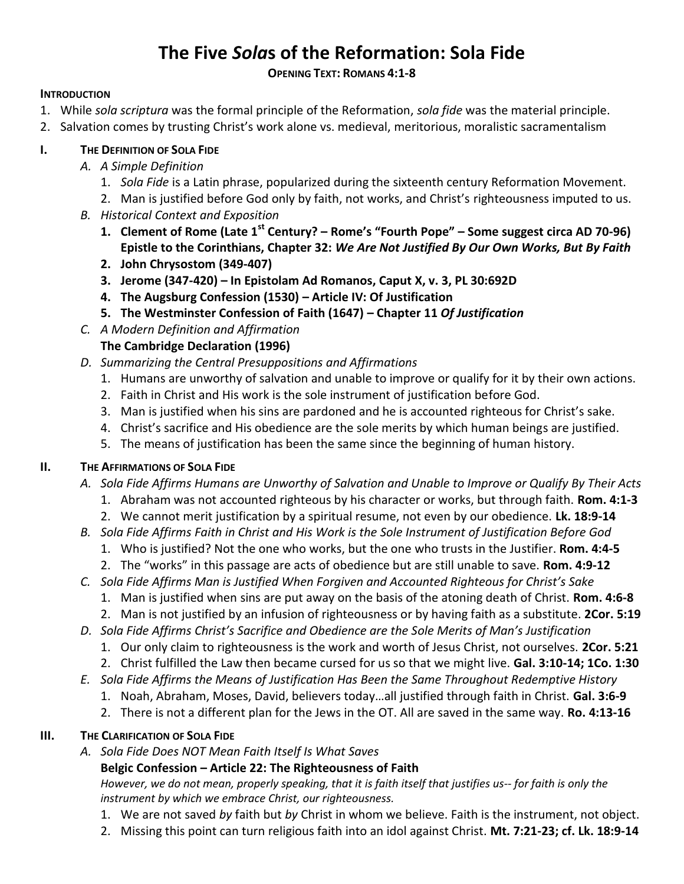# **The Five** *Sola***s of the Reformation: Sola Fide**

### **OPENING TEXT: ROMANS 4:1-8**

### **INTRODUCTION**

- 1. While *sola scriptura* was the formal principle of the Reformation, *sola fide* was the material principle.
- 2. Salvation comes by trusting Christ's work alone vs. medieval, meritorious, moralistic sacramentalism

# **I. THE DEFINITION OF SOLA FIDE**

- *A. A Simple Definition*
	- 1. *Sola Fide* is a Latin phrase, popularized during the sixteenth century Reformation Movement.
	- 2. Man is justified before God only by faith, not works, and Christ's righteousness imputed to us.
- *B. Historical Context and Exposition*
	- **1. Clement of Rome (Late 1st Century? – Rome's "Fourth Pope" – Some suggest circa AD 70-96) Epistle to the Corinthians, Chapter 32:** *We Are Not Justified By Our Own Works, But By Faith*
	- **2. John Chrysostom (349-407)**
	- **3. Jerome (347-420) – In Epistolam Ad Romanos, Caput X, v. 3, PL 30:692D**
	- **4. The Augsburg Confession (1530) – Article IV: Of Justification**
	- **5. The Westminster Confession of Faith (1647) – Chapter 11** *Of Justification*
- *C. A Modern Definition and Affirmation*

# **The Cambridge Declaration (1996)**

- *D. Summarizing the Central Presuppositions and Affirmations*
	- 1. Humans are unworthy of salvation and unable to improve or qualify for it by their own actions.
	- 2. Faith in Christ and His work is the sole instrument of justification before God.
	- 3. Man is justified when his sins are pardoned and he is accounted righteous for Christ's sake.
	- 4. Christ's sacrifice and His obedience are the sole merits by which human beings are justified.
	- 5. The means of justification has been the same since the beginning of human history.

# **II. THE AFFIRMATIONS OF SOLA FIDE**

- *A. Sola Fide Affirms Humans are Unworthy of Salvation and Unable to Improve or Qualify By Their Acts*
	- 1. Abraham was not accounted righteous by his character or works, but through faith. **Rom. 4:1-3**
	- 2. We cannot merit justification by a spiritual resume, not even by our obedience. **Lk. 18:9-14**
- *B. Sola Fide Affirms Faith in Christ and His Work is the Sole Instrument of Justification Before God*
	- 1. Who is justified? Not the one who works, but the one who trusts in the Justifier. **Rom. 4:4-5**
	- 2. The "works" in this passage are acts of obedience but are still unable to save. **Rom. 4:9-12**
- *C. Sola Fide Affirms Man is Justified When Forgiven and Accounted Righteous for Christ's Sake*
	- 1. Man is justified when sins are put away on the basis of the atoning death of Christ. **Rom. 4:6-8**
	- 2. Man is not justified by an infusion of righteousness or by having faith as a substitute. **2Cor. 5:19**
- *D. Sola Fide Affirms Christ's Sacrifice and Obedience are the Sole Merits of Man's Justification*
	- 1. Our only claim to righteousness is the work and worth of Jesus Christ, not ourselves. **2Cor. 5:21**
	- 2. Christ fulfilled the Law then became cursed for us so that we might live. **Gal. 3:10-14; 1Co. 1:30**
- *E. Sola Fide Affirms the Means of Justification Has Been the Same Throughout Redemptive History*
	- 1. Noah, Abraham, Moses, David, believers today…all justified through faith in Christ. **Gal. 3:6-9**
	- 2. There is not a different plan for the Jews in the OT. All are saved in the same way. **Ro. 4:13-16**

# **III. THE CLARIFICATION OF SOLA FIDE**

*A. Sola Fide Does NOT Mean Faith Itself Is What Saves*

# **Belgic Confession – Article 22: The Righteousness of Faith**

*However, we do not mean, properly speaking, that it is faith itself that justifies us-- for faith is only the instrument by which we embrace Christ, our righteousness.*

- 1. We are not saved *by* faith but *by* Christ in whom we believe. Faith is the instrument, not object.
- 2. Missing this point can turn religious faith into an idol against Christ. **Mt. 7:21-23; cf. Lk. 18:9-14**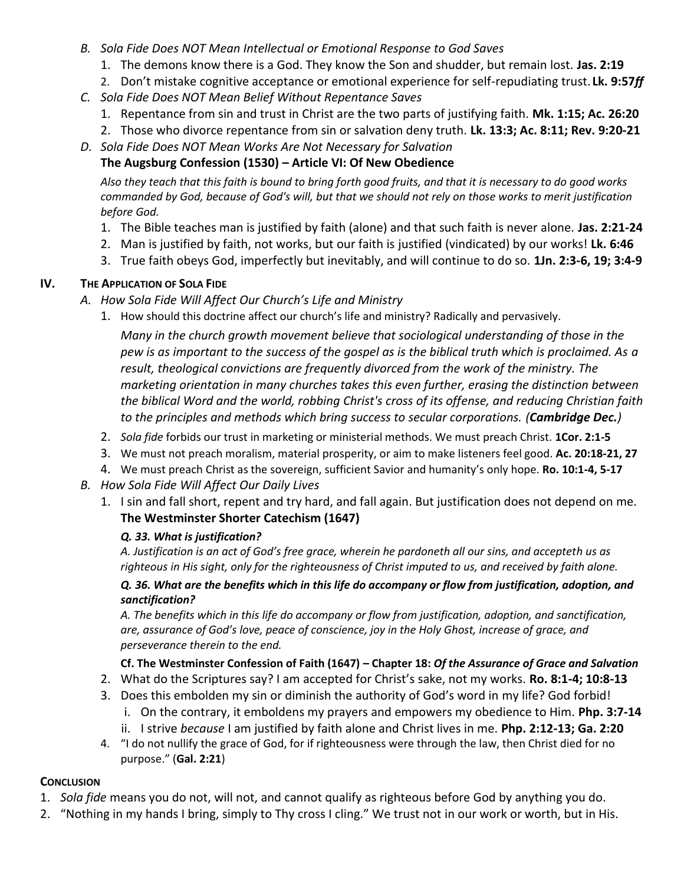- *B. Sola Fide Does NOT Mean Intellectual or Emotional Response to God Saves*
	- 1. The demons know there is a God. They know the Son and shudder, but remain lost. **Jas. 2:19**
	- 2. Don't mistake cognitive acceptance or emotional experience for self-repudiating trust. **Lk. 9:57***ff*
- *C. Sola Fide Does NOT Mean Belief Without Repentance Saves*
	- 1. Repentance from sin and trust in Christ are the two parts of justifying faith. **Mk. 1:15; Ac. 26:20**
	- 2. Those who divorce repentance from sin or salvation deny truth. **Lk. 13:3; Ac. 8:11; Rev. 9:20-21**
- *D. Sola Fide Does NOT Mean Works Are Not Necessary for Salvation*

# **The Augsburg Confession (1530) – Article VI: Of New Obedience**

*Also they teach that this faith is bound to bring forth good fruits, and that it is necessary to do good works commanded by God, because of God's will, but that we should not rely on those works to merit justification before God.*

- 1. The Bible teaches man is justified by faith (alone) and that such faith is never alone. **Jas. 2:21-24**
- 2. Man is justified by faith, not works, but our faith is justified (vindicated) by our works! **Lk. 6:46**
- 3. True faith obeys God, imperfectly but inevitably, and will continue to do so. **1Jn. 2:3-6, 19; 3:4-9**

### **IV. THE APPLICATION OF SOLA FIDE**

- *A. How Sola Fide Will Affect Our Church's Life and Ministry*
	- 1. How should this doctrine affect our church's life and ministry? Radically and pervasively.

*Many in the church growth movement believe that sociological understanding of those in the pew is as important to the success of the gospel as is the biblical truth which is proclaimed. As a result, theological convictions are frequently divorced from the work of the ministry. The marketing orientation in many churches takes this even further, erasing the distinction between the biblical Word and the world, robbing Christ's cross of its offense, and reducing Christian faith to the principles and methods which bring success to secular corporations. (Cambridge Dec.)*

- 2. *Sola fide* forbids our trust in marketing or ministerial methods. We must preach Christ. **1Cor. 2:1-5**
- 3. We must not preach moralism, material prosperity, or aim to make listeners feel good. **Ac. 20:18-21, 27**
- 4. We must preach Christ as the sovereign, sufficient Savior and humanity's only hope. **Ro. 10:1-4, 5-17**
- *B. How Sola Fide Will Affect Our Daily Lives*
	- 1. I sin and fall short, repent and try hard, and fall again. But justification does not depend on me. **The Westminster Shorter Catechism (1647)**

### *Q. 33. What is justification?*

*A. Justification is an act of God's free grace, wherein he pardoneth all our sins, and accepteth us as righteous in His sight, only for the righteousness of Christ imputed to us, and received by faith alone.*

### *Q. 36. What are the benefits which in this life do accompany or flow from justification, adoption, and sanctification?*

*A. The benefits which in this life do accompany or flow from justification, adoption, and sanctification, are, assurance of God's love, peace of conscience, joy in the Holy Ghost, increase of grace, and perseverance therein to the end.*

# **Cf. The Westminster Confession of Faith (1647) – Chapter 18:** *Of the Assurance of Grace and Salvation*

- 2. What do the Scriptures say? I am accepted for Christ's sake, not my works. **Ro. 8:1-4; 10:8-13**
- 3. Does this embolden my sin or diminish the authority of God's word in my life? God forbid!
	- i. On the contrary, it emboldens my prayers and empowers my obedience to Him. **Php. 3:7-14**
	- ii. I strive *because* I am justified by faith alone and Christ lives in me. **Php. 2:12-13; Ga. 2:20**
- 4. "I do not nullify the grace of God, for if righteousness were through the law, then Christ died for no purpose." (**Gal. 2:21**)

# **CONCLUSION**

- 1. *Sola fide* means you do not, will not, and cannot qualify as righteous before God by anything you do.
- 2. "Nothing in my hands I bring, simply to Thy cross I cling." We trust not in our work or worth, but in His.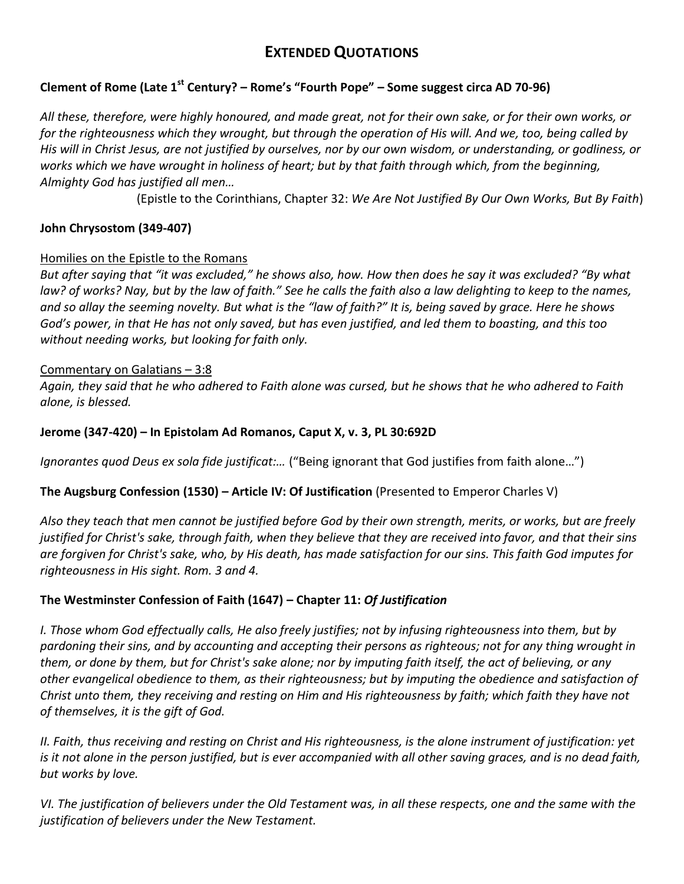# **EXTENDED QUOTATIONS**

### **Clement of Rome (Late 1st Century? – Rome's "Fourth Pope" – Some suggest circa AD 70-96)**

*All these, therefore, were highly honoured, and made great, not for their own sake, or for their own works, or for the righteousness which they wrought, but through the operation of His will. And we, too, being called by His will in Christ Jesus, are not justified by ourselves, nor by our own wisdom, or understanding, or godliness, or works which we have wrought in holiness of heart; but by that faith through which, from the beginning, Almighty God has justified all men…*

(Epistle to the Corinthians, Chapter 32: *We Are Not Justified By Our Own Works, But By Faith*)

### **John Chrysostom (349-407)**

### Homilies on the Epistle to the Romans

*But after saying that "it was excluded," he shows also, how. How then does he say it was excluded? "By what law? of works? Nay, but by the law of faith." See he calls the faith also a law delighting to keep to the names, and so allay the seeming novelty. But what is the "law of faith?" It is, being saved by grace. Here he shows God's power, in that He has not only saved, but has even justified, and led them to boasting, and this too without needing works, but looking for faith only.* 

### Commentary on Galatians – 3:8

*Again, they said that he who adhered to Faith alone was cursed, but he shows that he who adhered to Faith alone, is blessed.*

### **Jerome (347-420) – In Epistolam Ad Romanos, Caput X, v. 3, PL 30:692D**

*Ignorantes quod Deus ex sola fide justificat:…* ("Being ignorant that God justifies from faith alone…")

### **The Augsburg Confession (1530) – Article IV: Of Justification** (Presented to Emperor Charles V)

*Also they teach that men cannot be justified before God by their own strength, merits, or works, but are freely justified for Christ's sake, through faith, when they believe that they are received into favor, and that their sins are forgiven for Christ's sake, who, by His death, has made satisfaction for our sins. This faith God imputes for righteousness in His sight. [Rom. 3](http://biblia.com/bible/kjv1900/Rom.%203) and [4.](http://biblia.com/bible/kjv1900/Rom%203.4)*

### **The Westminster Confession of Faith (1647) – Chapter 11:** *Of Justification*

*I. Those whom God effectually calls, He also freely justifies; not by infusing righteousness into them, but by pardoning their sins, and by accounting and accepting their persons as righteous; not for any thing wrought in them, or done by them, but for Christ's sake alone; nor by imputing faith itself, the act of believing, or any other evangelical obedience to them, as their righteousness; but by imputing the obedience and satisfaction of Christ unto them, they receiving and resting on Him and His righteousness by faith; which faith they have not of themselves, it is the gift of God.*

*II. Faith, thus receiving and resting on Christ and His righteousness, is the alone instrument of justification: yet is it not alone in the person justified, but is ever accompanied with all other saving graces, and is no dead faith, but works by love.*

*VI. The justification of believers under the Old Testament was, in all these respects, one and the same with the justification of believers under the New Testament.*